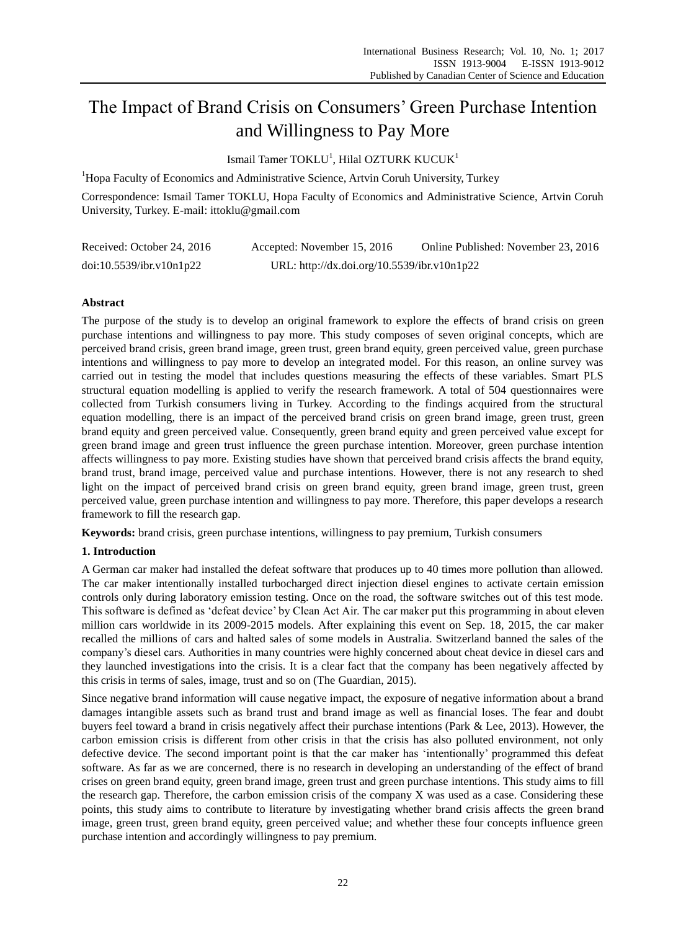# The Impact of Brand Crisis on Consumers' Green Purchase Intention and Willingness to Pay More

Ismail Tamer TOKLU<sup>1</sup>, Hilal OZTURK KUCUK<sup>1</sup>

<sup>1</sup>Hopa Faculty of Economics and Administrative Science, Artvin Coruh University, Turkey

Correspondence: Ismail Tamer TOKLU, Hopa Faculty of Economics and Administrative Science, Artvin Coruh University, Turkey. E-mail: ittoklu@gmail.com

| Received: October 24, 2016 | Accepted: November 15, 2016                 | Online Published: November 23, 2016 |
|----------------------------|---------------------------------------------|-------------------------------------|
| doi:10.5539/ibr.v10n1p22   | URL: http://dx.doi.org/10.5539/ibr.v10n1p22 |                                     |

# **Abstract**

The purpose of the study is to develop an original framework to explore the effects of brand crisis on green purchase intentions and willingness to pay more. This study composes of seven original concepts, which are perceived brand crisis, green brand image, green trust, green brand equity, green perceived value, green purchase intentions and willingness to pay more to develop an integrated model. For this reason, an online survey was carried out in testing the model that includes questions measuring the effects of these variables. Smart PLS structural equation modelling is applied to verify the research framework. A total of 504 questionnaires were collected from Turkish consumers living in Turkey. According to the findings acquired from the structural equation modelling, there is an impact of the perceived brand crisis on green brand image, green trust, green brand equity and green perceived value. Consequently, green brand equity and green perceived value except for green brand image and green trust influence the green purchase intention. Moreover, green purchase intention affects willingness to pay more. Existing studies have shown that perceived brand crisis affects the brand equity, brand trust, brand image, perceived value and purchase intentions. However, there is not any research to shed light on the impact of perceived brand crisis on green brand equity, green brand image, green trust, green perceived value, green purchase intention and willingness to pay more. Therefore, this paper develops a research framework to fill the research gap.

**Keywords:** brand crisis, green purchase intentions, willingness to pay premium, Turkish consumers

# **1. Introduction**

A German car maker had installed the defeat software that produces up to 40 times more pollution than allowed. The car maker intentionally installed turbocharged direct injection diesel engines to activate certain emission controls only during laboratory emission testing. Once on the road, the software switches out of this test mode. This software is defined as "defeat device" by Clean Act Air. The car maker put this programming in about eleven million cars worldwide in its 2009-2015 models. After explaining this event on Sep. 18, 2015, the car maker recalled the millions of cars and halted sales of some models in Australia. Switzerland banned the sales of the company"s diesel cars. Authorities in many countries were highly concerned about cheat device in diesel cars and they launched investigations into the crisis. It is a clear fact that the company has been negatively affected by this crisis in terms of sales, image, trust and so on (The Guardian, 2015).

Since negative brand information will cause negative impact, the exposure of negative information about a brand damages intangible assets such as brand trust and brand image as well as financial loses. The fear and doubt buyers feel toward a brand in crisis negatively affect their purchase intentions (Park & Lee, 2013). However, the carbon emission crisis is different from other crisis in that the crisis has also polluted environment, not only defective device. The second important point is that the car maker has "intentionally" programmed this defeat software. As far as we are concerned, there is no research in developing an understanding of the effect of brand crises on green brand equity, green brand image, green trust and green purchase intentions. This study aims to fill the research gap. Therefore, the carbon emission crisis of the company X was used as a case. Considering these points, this study aims to contribute to literature by investigating whether brand crisis affects the green brand image, green trust, green brand equity, green perceived value; and whether these four concepts influence green purchase intention and accordingly willingness to pay premium.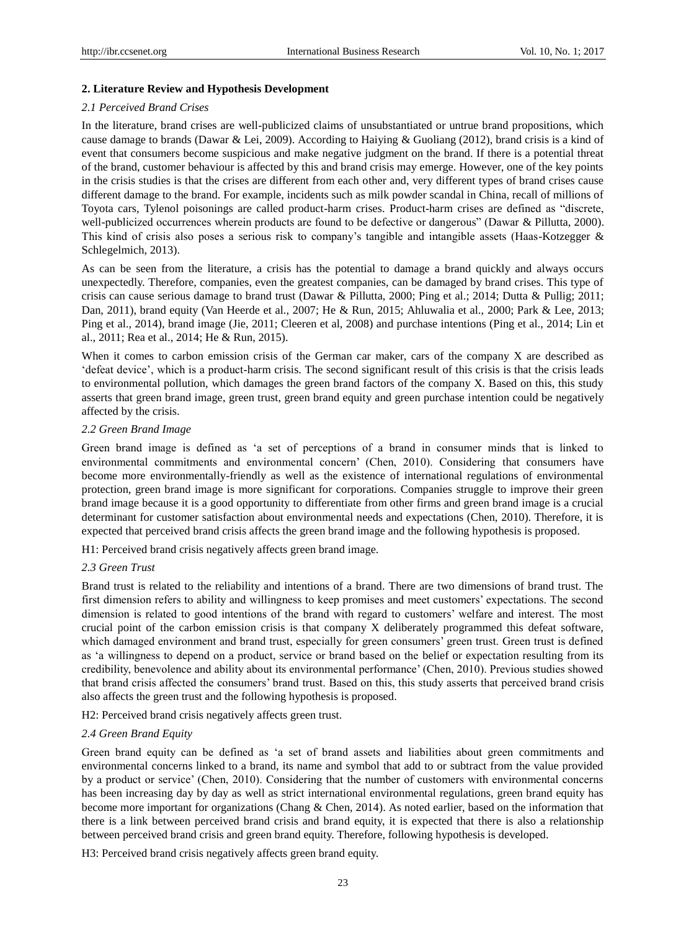## **2. Literature Review and Hypothesis Development**

## *2.1 Perceived Brand Crises*

In the literature, brand crises are well-publicized claims of unsubstantiated or untrue brand propositions, which cause damage to brands (Dawar & Lei, 2009). According to Haiying & Guoliang (2012), brand crisis is a kind of event that consumers become suspicious and make negative judgment on the brand. If there is a potential threat of the brand, customer behaviour is affected by this and brand crisis may emerge. However, one of the key points in the crisis studies is that the crises are different from each other and, very different types of brand crises cause different damage to the brand. For example, incidents such as milk powder scandal in China, recall of millions of Toyota cars, Tylenol poisonings are called product-harm crises. Product-harm crises are defined as "discrete, well-publicized occurrences wherein products are found to be defective or dangerous" (Dawar & Pillutta, 2000). This kind of crisis also poses a serious risk to company"s tangible and intangible assets (Haas-Kotzegger & Schlegelmich, 2013).

As can be seen from the literature, a crisis has the potential to damage a brand quickly and always occurs unexpectedly. Therefore, companies, even the greatest companies, can be damaged by brand crises. This type of crisis can cause serious damage to brand trust (Dawar & Pillutta, 2000; Ping et al.; 2014; Dutta & Pullig; 2011; Dan, 2011), brand equity (Van Heerde et al., 2007; He & Run, 2015; Ahluwalia et al., 2000; Park & Lee, 2013; Ping et al., 2014), brand image (Jie, 2011; Cleeren et al, 2008) and purchase intentions (Ping et al., 2014; Lin et al., 2011; Rea et al., 2014; He & Run, 2015).

When it comes to carbon emission crisis of the German car maker, cars of the company X are described as "defeat device", which is a product-harm crisis. The second significant result of this crisis is that the crisis leads to environmental pollution, which damages the green brand factors of the company X. Based on this, this study asserts that green brand image, green trust, green brand equity and green purchase intention could be negatively affected by the crisis.

## *2.2 Green Brand Image*

Green brand image is defined as "a set of perceptions of a brand in consumer minds that is linked to environmental commitments and environmental concern" (Chen, 2010). Considering that consumers have become more environmentally-friendly as well as the existence of international regulations of environmental protection, green brand image is more significant for corporations. Companies struggle to improve their green brand image because it is a good opportunity to differentiate from other firms and green brand image is a crucial determinant for customer satisfaction about environmental needs and expectations (Chen, 2010). Therefore, it is expected that perceived brand crisis affects the green brand image and the following hypothesis is proposed.

H1: Perceived brand crisis negatively affects green brand image.

### *2.3 Green Trust*

Brand trust is related to the reliability and intentions of a brand. There are two dimensions of brand trust. The first dimension refers to ability and willingness to keep promises and meet customers" expectations. The second dimension is related to good intentions of the brand with regard to customers" welfare and interest. The most crucial point of the carbon emission crisis is that company X deliberately programmed this defeat software, which damaged environment and brand trust, especially for green consumers' green trust. Green trust is defined as "a willingness to depend on a product, service or brand based on the belief or expectation resulting from its credibility, benevolence and ability about its environmental performance" (Chen, 2010). Previous studies showed that brand crisis affected the consumers" brand trust. Based on this, this study asserts that perceived brand crisis also affects the green trust and the following hypothesis is proposed.

H2: Perceived brand crisis negatively affects green trust.

### *2.4 Green Brand Equity*

Green brand equity can be defined as "a set of brand assets and liabilities about green commitments and environmental concerns linked to a brand, its name and symbol that add to or subtract from the value provided by a product or service" (Chen, 2010). Considering that the number of customers with environmental concerns has been increasing day by day as well as strict international environmental regulations, green brand equity has become more important for organizations (Chang & Chen, 2014). As noted earlier, based on the information that there is a link between perceived brand crisis and brand equity, it is expected that there is also a relationship between perceived brand crisis and green brand equity. Therefore, following hypothesis is developed.

H3: Perceived brand crisis negatively affects green brand equity.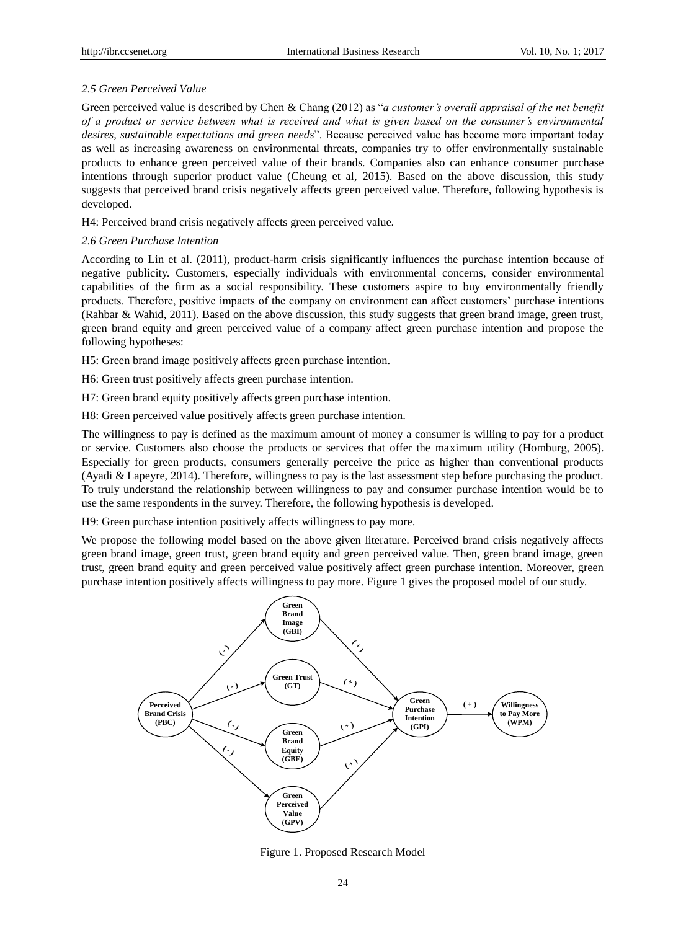# *2.5 Green Perceived Value*

Green perceived value is described by Chen & Chang (2012) as "*a customer's overall appraisal of the net benefit of a product or service between what is received and what is given based on the consumer's environmental desires, sustainable expectations and green needs*". Because perceived value has become more important today as well as increasing awareness on environmental threats, companies try to offer environmentally sustainable products to enhance green perceived value of their brands. Companies also can enhance consumer purchase intentions through superior product value (Cheung et al, 2015). Based on the above discussion, this study suggests that perceived brand crisis negatively affects green perceived value. Therefore, following hypothesis is developed.

H4: Perceived brand crisis negatively affects green perceived value.

# *2.6 Green Purchase Intention*

According to Lin et al. (2011), product-harm crisis significantly influences the purchase intention because of negative publicity. Customers, especially individuals with environmental concerns, consider environmental capabilities of the firm as a social responsibility. These customers aspire to buy environmentally friendly products. Therefore, positive impacts of the company on environment can affect customers" purchase intentions (Rahbar & Wahid, 2011). Based on the above discussion, this study suggests that green brand image, green trust, green brand equity and green perceived value of a company affect green purchase intention and propose the following hypotheses:

H5: Green brand image positively affects green purchase intention.

H6: Green trust positively affects green purchase intention.

H7: Green brand equity positively affects green purchase intention.

H8: Green perceived value positively affects green purchase intention.

The willingness to pay is defined as the maximum amount of money a consumer is willing to pay for a product or service. Customers also choose the products or services that offer the maximum utility (Homburg, 2005). Especially for green products, consumers generally perceive the price as higher than conventional products (Ayadi & Lapeyre, 2014). Therefore, willingness to pay is the last assessment step before purchasing the product. To truly understand the relationship between willingness to pay and consumer purchase intention would be to use the same respondents in the survey. Therefore, the following hypothesis is developed.

H9: Green purchase intention positively affects willingness to pay more.

We propose the following model based on the above given literature. Perceived brand crisis negatively affects green brand image, green trust, green brand equity and green perceived value. Then, green brand image, green trust, green brand equity and green perceived value positively affect green purchase intention. Moreover, green purchase intention positively affects willingness to pay more. Figure 1 gives the proposed model of our study.



Figure 1. Proposed Research Model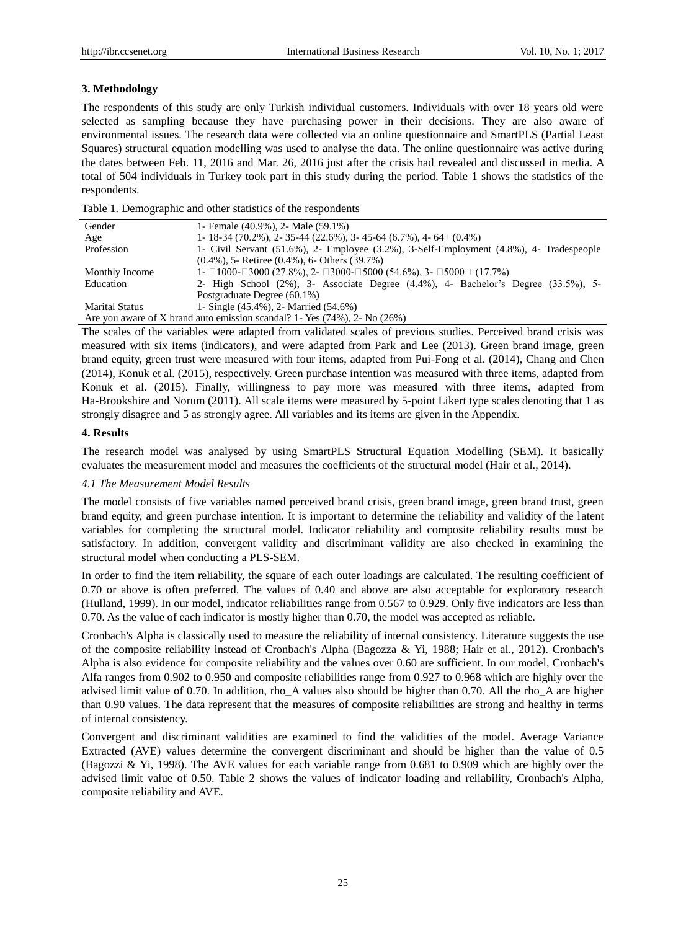## **3. Methodology**

The respondents of this study are only Turkish individual customers. Individuals with over 18 years old were selected as sampling because they have purchasing power in their decisions. They are also aware of environmental issues. The research data were collected via an online questionnaire and SmartPLS (Partial Least Squares) structural equation modelling was used to analyse the data. The online questionnaire was active during the dates between Feb. 11, 2016 and Mar. 26, 2016 just after the crisis had revealed and discussed in media. A total of 504 individuals in Turkey took part in this study during the period. Table 1 shows the statistics of the respondents.

Table 1. Demographic and other statistics of the respondents

| Gender                | 1- Female (40.9%), 2- Male (59.1%)                                                                 |
|-----------------------|----------------------------------------------------------------------------------------------------|
| Age                   | $1 - 18 - 34$ (70.2%), 2 - 35 - 44 (22.6%), 3 - 45 - 64 (6.7%), 4 - 64 + (0.4%)                    |
| Profession            | 1- Civil Servant (51.6%), 2- Employee (3.2%), 3-Self-Employment (4.8%), 4- Tradespeople            |
|                       | $(0.4\%)$ , 5- Retiree $(0.4\%)$ , 6- Others $(39.7\%)$                                            |
| Monthly Income        | 1- $\Box$ 1000- $\Box$ 3000 (27.8%), 2- $\Box$ 3000- $\Box$ 5000 (54.6%), 3- $\Box$ 5000 + (17.7%) |
| Education             | 2- High School $(2\%)$ , 3- Associate Degree $(4.4\%)$ , 4- Bachelor's Degree $(3.3.5\%)$ , 5-     |
|                       | Postgraduate Degree (60.1%)                                                                        |
| <b>Marital Status</b> | 1- Single (45.4%), 2- Married (54.6%)                                                              |
|                       | Are you aware of X brand auto emission scandal? 1 - Yes $(74\%)$ , 2 - No $(26\%)$                 |

The scales of the variables were adapted from validated scales of previous studies. Perceived brand crisis was measured with six items (indicators), and were adapted from Park and Lee (2013). Green brand image, green brand equity, green trust were measured with four items, adapted from Pui-Fong et al. (2014), Chang and Chen (2014), Konuk et al. (2015), respectively. Green purchase intention was measured with three items, adapted from Konuk et al. (2015). Finally, willingness to pay more was measured with three items, adapted from Ha-Brookshire and Norum (2011). All scale items were measured by 5-point Likert type scales denoting that 1 as strongly disagree and 5 as strongly agree. All variables and its items are given in the Appendix.

## **4. Results**

The research model was analysed by using SmartPLS Structural Equation Modelling (SEM). It basically evaluates the measurement model and measures the coefficients of the structural model (Hair et al., 2014).

## *4.1 The Measurement Model Results*

The model consists of five variables named perceived brand crisis, green brand image, green brand trust, green brand equity, and green purchase intention. It is important to determine the reliability and validity of the latent variables for completing the structural model. Indicator reliability and composite reliability results must be satisfactory. In addition, convergent validity and discriminant validity are also checked in examining the structural model when conducting a PLS-SEM.

In order to find the item reliability, the square of each outer loadings are calculated. The resulting coefficient of 0.70 or above is often preferred. The values of 0.40 and above are also acceptable for exploratory research (Hulland, 1999). In our model, indicator reliabilities range from 0.567 to 0.929. Only five indicators are less than 0.70. As the value of each indicator is mostly higher than 0.70, the model was accepted as reliable.

Cronbach's Alpha is classically used to measure the reliability of internal consistency. Literature suggests the use of the composite reliability instead of Cronbach's Alpha (Bagozza & Yi, 1988; Hair et al., 2012). Cronbach's Alpha is also evidence for composite reliability and the values over 0.60 are sufficient. In our model, Cronbach's Alfa ranges from 0.902 to 0.950 and composite reliabilities range from 0.927 to 0.968 which are highly over the advised limit value of 0.70. In addition, rho\_A values also should be higher than 0.70. All the rho\_A are higher than 0.90 values. The data represent that the measures of composite reliabilities are strong and healthy in terms of internal consistency.

Convergent and discriminant validities are examined to find the validities of the model. Average Variance Extracted (AVE) values determine the convergent discriminant and should be higher than the value of 0.5 (Bagozzi & Yi, 1998). The AVE values for each variable range from 0.681 to 0.909 which are highly over the advised limit value of 0.50. Table 2 shows the values of indicator loading and reliability, Cronbach's Alpha, composite reliability and AVE.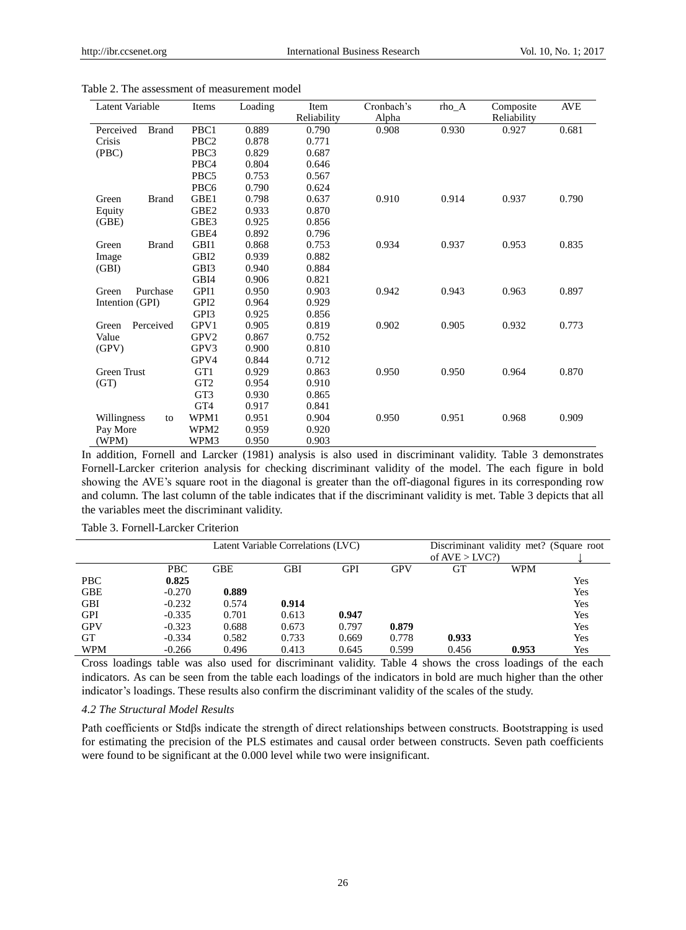| Latent Variable           | Items            | Loading | Item<br>Reliability | Cronbach's<br>Alpha | rho A | Composite<br>Reliability | AVE   |
|---------------------------|------------------|---------|---------------------|---------------------|-------|--------------------------|-------|
| Perceived<br><b>Brand</b> | PBC1             | 0.889   | 0.790               | 0.908               | 0.930 | 0.927                    | 0.681 |
| Crisis                    | PBC <sub>2</sub> | 0.878   | 0.771               |                     |       |                          |       |
| (PBC)                     | PBC3             | 0.829   | 0.687               |                     |       |                          |       |
|                           | PBC <sub>4</sub> | 0.804   | 0.646               |                     |       |                          |       |
|                           | PBC <sub>5</sub> | 0.753   | 0.567               |                     |       |                          |       |
|                           | PBC <sub>6</sub> | 0.790   | 0.624               |                     |       |                          |       |
| <b>Brand</b><br>Green     | GBE1             | 0.798   | 0.637               | 0.910               | 0.914 | 0.937                    | 0.790 |
| Equity                    | GBE <sub>2</sub> | 0.933   | 0.870               |                     |       |                          |       |
| (GBE)                     | GBE3             | 0.925   | 0.856               |                     |       |                          |       |
|                           | GBE4             | 0.892   | 0.796               |                     |       |                          |       |
| Green<br><b>Brand</b>     | GBI1             | 0.868   | 0.753               | 0.934               | 0.937 | 0.953                    | 0.835 |
| Image                     | GBI <sub>2</sub> | 0.939   | 0.882               |                     |       |                          |       |
| (GBI)                     | GBI3             | 0.940   | 0.884               |                     |       |                          |       |
|                           | GBI4             | 0.906   | 0.821               |                     |       |                          |       |
| Purchase<br>Green         | GPI1             | 0.950   | 0.903               | 0.942               | 0.943 | 0.963                    | 0.897 |
| Intention (GPI)           | GPI <sub>2</sub> | 0.964   | 0.929               |                     |       |                          |       |
|                           | GPI3             | 0.925   | 0.856               |                     |       |                          |       |
| Perceived<br>Green        | GPV1             | 0.905   | 0.819               | 0.902               | 0.905 | 0.932                    | 0.773 |
| Value                     | GPV <sub>2</sub> | 0.867   | 0.752               |                     |       |                          |       |
| (GPV)                     | GPV3             | 0.900   | 0.810               |                     |       |                          |       |
|                           | GPV4             | 0.844   | 0.712               |                     |       |                          |       |
| <b>Green Trust</b>        | GT1              | 0.929   | 0.863               | 0.950               | 0.950 | 0.964                    | 0.870 |
| (GT)                      | GT <sub>2</sub>  | 0.954   | 0.910               |                     |       |                          |       |
|                           | GT3              | 0.930   | 0.865               |                     |       |                          |       |
|                           | GT <sub>4</sub>  | 0.917   | 0.841               |                     |       |                          |       |
| Willingness<br>to         | WPM1             | 0.951   | 0.904               | 0.950               | 0.951 | 0.968                    | 0.909 |
| Pay More                  | WPM <sub>2</sub> | 0.959   | 0.920               |                     |       |                          |       |
| (WPM)                     | WPM3             | 0.950   | 0.903               |                     |       |                          |       |

Table 2. The assessment of measurement model

In addition, Fornell and Larcker (1981) analysis is also used in discriminant validity. Table 3 demonstrates Fornell-Larcker criterion analysis for checking discriminant validity of the model. The each figure in bold showing the AVE"s square root in the diagonal is greater than the off-diagonal figures in its corresponding row and column. The last column of the table indicates that if the discriminant validity is met. Table 3 depicts that all the variables meet the discriminant validity.

|            |            |       | Latent Variable Correlations (LVC) |       |            | Discriminant validity met? (Square root |            |     |
|------------|------------|-------|------------------------------------|-------|------------|-----------------------------------------|------------|-----|
|            |            |       |                                    |       |            | of $AVE > LVC$ ?                        |            |     |
|            | <b>PBC</b> | GBE   | <b>GBI</b>                         | GPI   | <b>GPV</b> | GT                                      | <b>WPM</b> |     |
| <b>PBC</b> | 0.825      |       |                                    |       |            |                                         |            | Yes |
| <b>GBE</b> | $-0.270$   | 0.889 |                                    |       |            |                                         |            | Yes |
| <b>GBI</b> | $-0.232$   | 0.574 | 0.914                              |       |            |                                         |            | Yes |
| <b>GPI</b> | $-0.335$   | 0.701 | 0.613                              | 0.947 |            |                                         |            | Yes |
| <b>GPV</b> | $-0.323$   | 0.688 | 0.673                              | 0.797 | 0.879      |                                         |            | Yes |
| <b>GT</b>  | $-0.334$   | 0.582 | 0.733                              | 0.669 | 0.778      | 0.933                                   |            | Yes |
| <b>WPM</b> | $-0.266$   | 0.496 | 0.413                              | 0.645 | 0.599      | 0.456                                   | 0.953      | Yes |

Table 3. Fornell-Larcker Criterion

Cross loadings table was also used for discriminant validity. Table 4 shows the cross loadings of the each indicators. As can be seen from the table each loadings of the indicators in bold are much higher than the other indicator"s loadings. These results also confirm the discriminant validity of the scales of the study.

#### *4.2 The Structural Model Results*

Path coefficients or Stdβs indicate the strength of direct relationships between constructs. Bootstrapping is used for estimating the precision of the PLS estimates and causal order between constructs. Seven path coefficients were found to be significant at the 0.000 level while two were insignificant.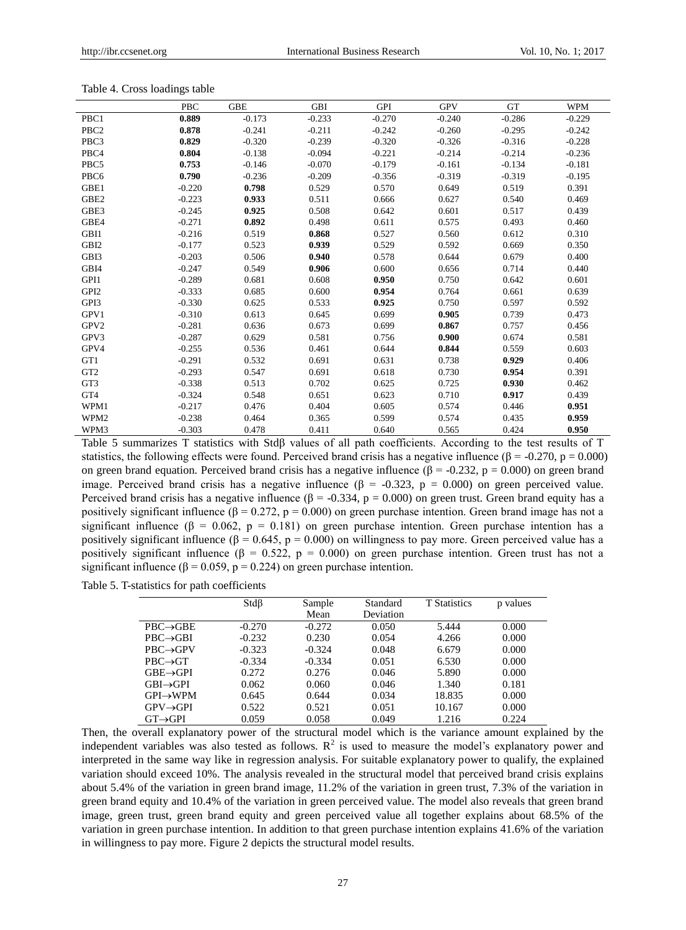|                  | <b>PBC</b> | <b>GBE</b> | <b>GBI</b> | <b>GPI</b> | <b>GPV</b> | <b>GT</b> | <b>WPM</b> |
|------------------|------------|------------|------------|------------|------------|-----------|------------|
| PBC1             | 0.889      | $-0.173$   | $-0.233$   | $-0.270$   | $-0.240$   | $-0.286$  | $-0.229$   |
| PBC <sub>2</sub> | 0.878      | $-0.241$   | $-0.211$   | $-0.242$   | $-0.260$   | $-0.295$  | $-0.242$   |
| PBC3             | 0.829      | $-0.320$   | $-0.239$   | $-0.320$   | $-0.326$   | $-0.316$  | $-0.228$   |
| PBC4             | 0.804      | $-0.138$   | $-0.094$   | $-0.221$   | $-0.214$   | $-0.214$  | $-0.236$   |
| PBC5             | 0.753      | $-0.146$   | $-0.070$   | $-0.179$   | $-0.161$   | $-0.134$  | $-0.181$   |
| PBC6             | 0.790      | $-0.236$   | $-0.209$   | $-0.356$   | $-0.319$   | $-0.319$  | $-0.195$   |
| GBE1             | $-0.220$   | 0.798      | 0.529      | 0.570      | 0.649      | 0.519     | 0.391      |
| GBE <sub>2</sub> | $-0.223$   | 0.933      | 0.511      | 0.666      | 0.627      | 0.540     | 0.469      |
| GBE3             | $-0.245$   | 0.925      | 0.508      | 0.642      | 0.601      | 0.517     | 0.439      |
| GBE4             | $-0.271$   | 0.892      | 0.498      | 0.611      | 0.575      | 0.493     | 0.460      |
| GBI1             | $-0.216$   | 0.519      | 0.868      | 0.527      | 0.560      | 0.612     | 0.310      |
| GBI <sub>2</sub> | $-0.177$   | 0.523      | 0.939      | 0.529      | 0.592      | 0.669     | 0.350      |
| GBI3             | $-0.203$   | 0.506      | 0.940      | 0.578      | 0.644      | 0.679     | 0.400      |
| GBI4             | $-0.247$   | 0.549      | 0.906      | 0.600      | 0.656      | 0.714     | 0.440      |
| GPI1             | $-0.289$   | 0.681      | 0.608      | 0.950      | 0.750      | 0.642     | 0.601      |
| GPI <sub>2</sub> | $-0.333$   | 0.685      | 0.600      | 0.954      | 0.764      | 0.661     | 0.639      |
| GPI3             | $-0.330$   | 0.625      | 0.533      | 0.925      | 0.750      | 0.597     | 0.592      |
| GPV1             | $-0.310$   | 0.613      | 0.645      | 0.699      | 0.905      | 0.739     | 0.473      |
| GPV2             | $-0.281$   | 0.636      | 0.673      | 0.699      | 0.867      | 0.757     | 0.456      |
| GPV3             | $-0.287$   | 0.629      | 0.581      | 0.756      | 0.900      | 0.674     | 0.581      |
| GPV4             | $-0.255$   | 0.536      | 0.461      | 0.644      | 0.844      | 0.559     | 0.603      |
| GT1              | $-0.291$   | 0.532      | 0.691      | 0.631      | 0.738      | 0.929     | 0.406      |
| GT <sub>2</sub>  | $-0.293$   | 0.547      | 0.691      | 0.618      | 0.730      | 0.954     | 0.391      |
| GT3              | $-0.338$   | 0.513      | 0.702      | 0.625      | 0.725      | 0.930     | 0.462      |
| GT4              | $-0.324$   | 0.548      | 0.651      | 0.623      | 0.710      | 0.917     | 0.439      |
| WPM1             | $-0.217$   | 0.476      | 0.404      | 0.605      | 0.574      | 0.446     | 0.951      |
| WPM2             | $-0.238$   | 0.464      | 0.365      | 0.599      | 0.574      | 0.435     | 0.959      |
| WPM3             | $-0.303$   | 0.478      | 0.411      | 0.640      | 0.565      | 0.424     | 0.950      |

#### Table 4. Cross loadings table

Table 5 summarizes T statistics with Stdβ values of all path coefficients. According to the test results of T statistics, the following effects were found. Perceived brand crisis has a negative influence ( $\beta$  = -0.270, p = 0.000) on green brand equation. Perceived brand crisis has a negative influence ( $\beta$  = -0.232, p = 0.000) on green brand image. Perceived brand crisis has a negative influence (β = -0.323, p = 0.000) on green perceived value. Perceived brand crisis has a negative influence ( $\beta$  = -0.334, p = 0.000) on green trust. Green brand equity has a positively significant influence ( $\beta = 0.272$ ,  $p = 0.000$ ) on green purchase intention. Green brand image has not a significant influence ( $\beta$  = 0.062, p = 0.181) on green purchase intention. Green purchase intention has a positively significant influence ( $\beta = 0.645$ ,  $p = 0.000$ ) on willingness to pay more. Green perceived value has a positively significant influence ( $\beta = 0.522$ ,  $p = 0.000$ ) on green purchase intention. Green trust has not a significant influence ( $\beta$  = 0.059, p = 0.224) on green purchase intention.

Table 5. T-statistics for path coefficients

|                       | $Std\beta$ | Sample<br>Mean | Standard<br>Deviation | <b>T</b> Statistics | p values |
|-----------------------|------------|----------------|-----------------------|---------------------|----------|
| $PBC \rightarrow GBE$ | $-0.270$   | $-0.272$       | 0.050                 | 5.444               | 0.000    |
| $PBC \rightarrow GBI$ | $-0.232$   | 0.230          | 0.054                 | 4.266               | 0.000    |
| $PBC \rightarrow GPV$ | $-0.323$   | $-0.324$       | 0.048                 | 6.679               | 0.000    |
| $PBC \rightarrow GT$  | $-0.334$   | $-0.334$       | 0.051                 | 6.530               | 0.000    |
| $GBE \rightarrow GPI$ | 0.272      | 0.276          | 0.046                 | 5.890               | 0.000    |
| $GBI \rightarrow GPI$ | 0.062      | 0.060          | 0.046                 | 1.340               | 0.181    |
| $GPI \rightarrow WPM$ | 0.645      | 0.644          | 0.034                 | 18.835              | 0.000    |
| $GPV \rightarrow GPI$ | 0.522      | 0.521          | 0.051                 | 10.167              | 0.000    |
| $GT \rightarrow GPI$  | 0.059      | 0.058          | 0.049                 | 1.216               | 0.224    |

Then, the overall explanatory power of the structural model which is the variance amount explained by the independent variables was also tested as follows.  $R^2$  is used to measure the model's explanatory power and interpreted in the same way like in regression analysis. For suitable explanatory power to qualify, the explained variation should exceed 10%. The analysis revealed in the structural model that perceived brand crisis explains about 5.4% of the variation in green brand image, 11.2% of the variation in green trust, 7.3% of the variation in green brand equity and 10.4% of the variation in green perceived value. The model also reveals that green brand image, green trust, green brand equity and green perceived value all together explains about 68.5% of the variation in green purchase intention. In addition to that green purchase intention explains 41.6% of the variation in willingness to pay more. Figure 2 depicts the structural model results.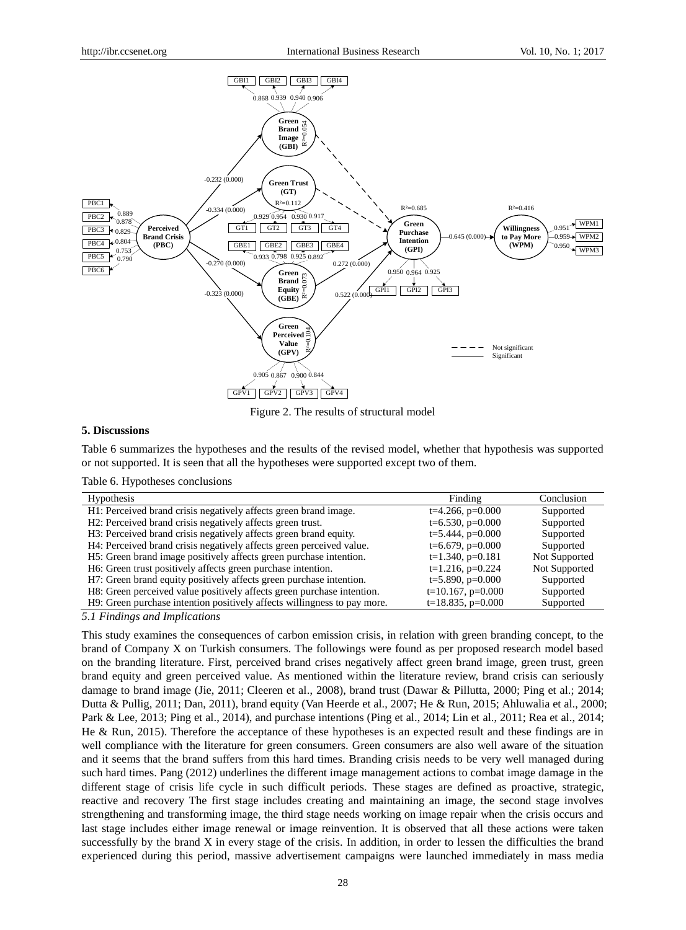

Figure 2. The results of structural model

#### **5. Discussions**

Table 6 summarizes the hypotheses and the results of the revised model, whether that hypothesis was supported or not supported. It is seen that all the hypotheses were supported except two of them.

|  | Table 6. Hypotheses conclusions |  |
|--|---------------------------------|--|
|--|---------------------------------|--|

| Hypothesis                                                                     | Finding                | Conclusion    |
|--------------------------------------------------------------------------------|------------------------|---------------|
| H1: Perceived brand crisis negatively affects green brand image.               | $t=4.266$ , $p=0.000$  | Supported     |
| H <sub>2</sub> : Perceived brand crisis negatively affects green trust.        | $t=6.530, p=0.000$     | Supported     |
| H <sub>3</sub> : Perceived brand crisis negatively affects green brand equity. | $t=5.444$ , $p=0.000$  | Supported     |
| H4: Perceived brand crisis negatively affects green perceived value.           | $t=6.679$ , $p=0.000$  | Supported     |
| H5: Green brand image positively affects green purchase intention.             | $t=1.340$ , $p=0.181$  | Not Supported |
| H6: Green trust positively affects green purchase intention.                   | $t=1.216$ , $p=0.224$  | Not Supported |
| H7: Green brand equity positively affects green purchase intention.            | $t=5.890, p=0.000$     | Supported     |
| H8: Green perceived value positively affects green purchase intention.         | $t=10.167$ , $p=0.000$ | Supported     |
| H9: Green purchase intention positively affects willingness to pay more.       | $t=18.835, p=0.000$    | Supported     |
|                                                                                |                        |               |

*5.1 Findings and Implications*

This study examines the consequences of carbon emission crisis, in relation with green branding concept, to the brand of Company X on Turkish consumers. The followings were found as per proposed research model based on the branding literature. First, perceived brand crises negatively affect green brand image, green trust, green brand equity and green perceived value. As mentioned within the literature review, brand crisis can seriously damage to brand image (Jie, 2011; Cleeren et al., 2008), brand trust (Dawar & Pillutta, 2000; Ping et al.; 2014; Dutta & Pullig, 2011; Dan, 2011), brand equity (Van Heerde et al., 2007; He & Run, 2015; Ahluwalia et al., 2000; Park & Lee, 2013; Ping et al., 2014), and purchase intentions (Ping et al., 2014; Lin et al., 2011; Rea et al., 2014; He & Run, 2015). Therefore the acceptance of these hypotheses is an expected result and these findings are in well compliance with the literature for green consumers. Green consumers are also well aware of the situation and it seems that the brand suffers from this hard times. Branding crisis needs to be very well managed during such hard times. Pang (2012) underlines the different image management actions to combat image damage in the different stage of crisis life cycle in such difficult periods. These stages are defined as proactive, strategic, reactive and recovery The first stage includes creating and maintaining an image, the second stage involves strengthening and transforming image, the third stage needs working on image repair when the crisis occurs and last stage includes either image renewal or image reinvention. It is observed that all these actions were taken successfully by the brand X in every stage of the crisis. In addition, in order to lessen the difficulties the brand experienced during this period, massive advertisement campaigns were launched immediately in mass media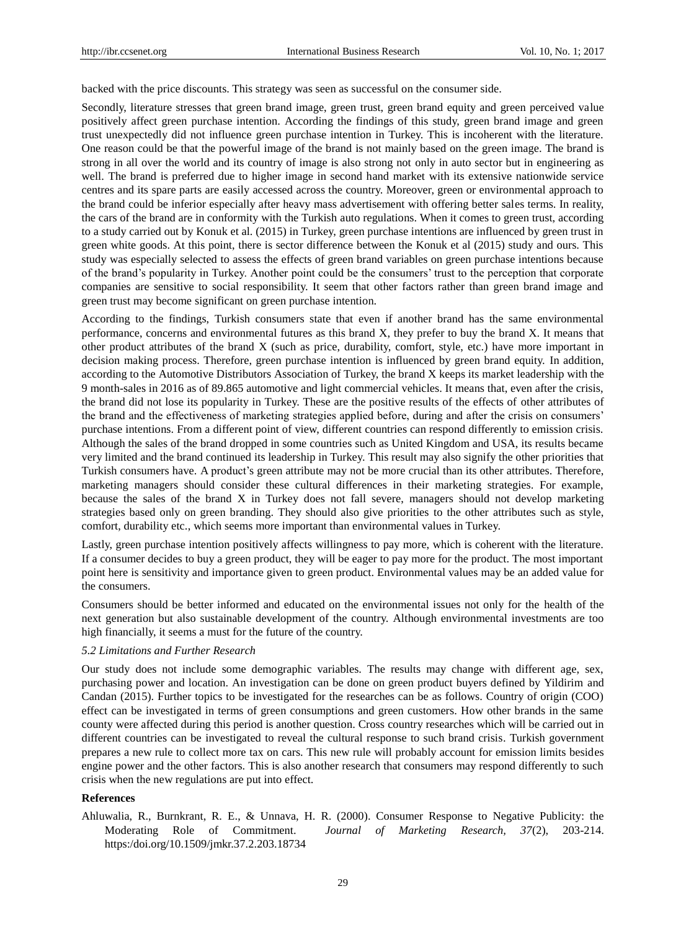backed with the price discounts. This strategy was seen as successful on the consumer side.

Secondly, literature stresses that green brand image, green trust, green brand equity and green perceived value positively affect green purchase intention. According the findings of this study, green brand image and green trust unexpectedly did not influence green purchase intention in Turkey. This is incoherent with the literature. One reason could be that the powerful image of the brand is not mainly based on the green image. The brand is strong in all over the world and its country of image is also strong not only in auto sector but in engineering as well. The brand is preferred due to higher image in second hand market with its extensive nationwide service centres and its spare parts are easily accessed across the country. Moreover, green or environmental approach to the brand could be inferior especially after heavy mass advertisement with offering better sales terms. In reality, the cars of the brand are in conformity with the Turkish auto regulations. When it comes to green trust, according to a study carried out by Konuk et al. (2015) in Turkey, green purchase intentions are influenced by green trust in green white goods. At this point, there is sector difference between the Konuk et al (2015) study and ours. This study was especially selected to assess the effects of green brand variables on green purchase intentions because of the brand"s popularity in Turkey. Another point could be the consumers" trust to the perception that corporate companies are sensitive to social responsibility. It seem that other factors rather than green brand image and green trust may become significant on green purchase intention.

According to the findings, Turkish consumers state that even if another brand has the same environmental performance, concerns and environmental futures as this brand X, they prefer to buy the brand X. It means that other product attributes of the brand X (such as price, durability, comfort, style, etc.) have more important in decision making process. Therefore, green purchase intention is influenced by green brand equity. In addition, according to the Automotive Distributors Association of Turkey, the brand X keeps its market leadership with the 9 month-sales in 2016 as of 89.865 automotive and light commercial vehicles. It means that, even after the crisis, the brand did not lose its popularity in Turkey. These are the positive results of the effects of other attributes of the brand and the effectiveness of marketing strategies applied before, during and after the crisis on consumers" purchase intentions. From a different point of view, different countries can respond differently to emission crisis. Although the sales of the brand dropped in some countries such as United Kingdom and USA, its results became very limited and the brand continued its leadership in Turkey. This result may also signify the other priorities that Turkish consumers have. A product's green attribute may not be more crucial than its other attributes. Therefore, marketing managers should consider these cultural differences in their marketing strategies. For example, because the sales of the brand X in Turkey does not fall severe, managers should not develop marketing strategies based only on green branding. They should also give priorities to the other attributes such as style, comfort, durability etc., which seems more important than environmental values in Turkey.

Lastly, green purchase intention positively affects willingness to pay more, which is coherent with the literature. If a consumer decides to buy a green product, they will be eager to pay more for the product. The most important point here is sensitivity and importance given to green product. Environmental values may be an added value for the consumers.

Consumers should be better informed and educated on the environmental issues not only for the health of the next generation but also sustainable development of the country. Although environmental investments are too high financially, it seems a must for the future of the country.

### *5.2 Limitations and Further Research*

Our study does not include some demographic variables. The results may change with different age, sex, purchasing power and location. An investigation can be done on green product buyers defined by Yildirim and Candan (2015). Further topics to be investigated for the researches can be as follows. Country of origin (COO) effect can be investigated in terms of green consumptions and green customers. How other brands in the same county were affected during this period is another question. Cross country researches which will be carried out in different countries can be investigated to reveal the cultural response to such brand crisis. Turkish government prepares a new rule to collect more tax on cars. This new rule will probably account for emission limits besides engine power and the other factors. This is also another research that consumers may respond differently to such crisis when the new regulations are put into effect.

# **References**

Ahluwalia, R., Burnkrant, R. E., & Unnava, H. R. (2000). Consumer Response to Negative Publicity: the Moderating Role of Commitment. *Journal of Marketing Research, 37*(2), 203-214. [https:/doi.org/10.1509/jmkr.37.2.203.18734](https://doi.org/10.1509/jmkr.37.2.203.18734)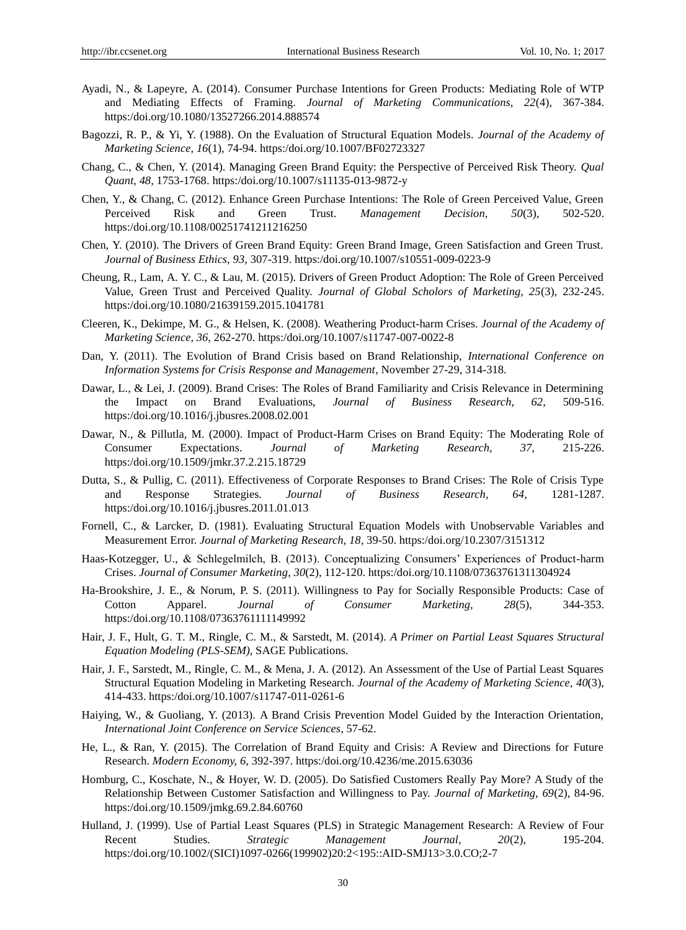- Ayadi, N., & Lapeyre, A. (2014). Consumer Purchase Intentions for Green Products: Mediating Role of WTP and Mediating Effects of Framing. *Journal of Marketing Communications, 22*(4), 367-384. [https:/doi.org/10.1080/13527266.2014.888574](https://doi.org/10.1080/13527266.2014.888574)
- Bagozzi, R. P., & Yi, Y. (1988). On the Evaluation of Structural Equation Models. *Journal of the Academy of Marketing Science, 16*(1), 74-94. [https:/doi.org/10.1007/BF02723327](https://doi.org/10.1007/BF02723327)
- Chang, C., & Chen, Y. (2014). Managing Green Brand Equity: the Perspective of Perceived Risk Theory. *Qual Quant*, *48,* 1753-1768. [https:/doi.org/10.1007/s11135-013-9872-y](https://doi.org/10.1007/s11135-013-9872-y)
- Chen, Y., & Chang, C. (2012). Enhance Green Purchase Intentions: The Role of Green Perceived Value, Green Perceived Risk and Green Trust. *Management Decision, 50*(3), 502-520. [https:/doi.org/10.1108/00251741211216250](https://doi.org/10.1108/00251741211216250)
- Chen, Y. (2010). The Drivers of Green Brand Equity: Green Brand Image, Green Satisfaction and Green Trust. *Journal of Business Ethics, 93,* 307-319. [https:/doi.org/10.1007/s10551-009-0223-9](https://doi.org/10.1007/s10551-009-0223-9)
- Cheung, R., Lam, A. Y. C., & Lau, M. (2015). Drivers of Green Product Adoption: The Role of Green Perceived Value, Green Trust and Perceived Quality. *Journal of Global Scholors of Marketing, 25*(3), 232-245. [https:/doi.org/10.1080/21639159.2015.1041781](https://doi.org/10.1080/21639159.2015.1041781)
- Cleeren, K., Dekimpe, M. G., & Helsen, K. (2008). Weathering Product-harm Crises. *Journal of the Academy of Marketing Science, 36,* 262-270. [https:/doi.org/10.1007/s11747-007-0022-8](https://doi.org/10.1007/s11747-007-0022-8)
- Dan, Y. (2011). The Evolution of Brand Crisis based on Brand Relationship, *International Conference on Information Systems for Crisis Response and Management*, November 27-29, 314-318.
- Dawar, L., & Lei, J. (2009). Brand Crises: The Roles of Brand Familiarity and Crisis Relevance in Determining the Impact on Brand Evaluations, *Journal of Business Research, 62,* 509-516. [https:/doi.org/10.1016/j.jbusres.2008.02.001](https://doi.org/10.1016/j.jbusres.2008.02.001)
- Dawar, N., & Pillutla, M. (2000). Impact of Product-Harm Crises on Brand Equity: The Moderating Role of Consumer Expectations. *Journal of Marketing Research, 37,* 215-226. [https:/doi.org/10.1509/jmkr.37.2.215.18729](https://doi.org/10.1509/jmkr.37.2.215.18729)
- Dutta, S., & Pullig, C. (2011). Effectiveness of Corporate Responses to Brand Crises: The Role of Crisis Type and Response Strategies. *Journal of Business Research, 64,* 1281-1287. [https:/doi.org/10.1016/j.jbusres.2011.01.013](https://doi.org/10.1016/j.jbusres.2011.01.013)
- Fornell, C., & Larcker, D. (1981). Evaluating Structural Equation Models with Unobservable Variables and Measurement Error. *Journal of Marketing Research, 18,* 39-50. [https:/doi.org/10.2307/3151312](https://doi.org/10.2307/3151312)
- Haas-Kotzegger, U., & Schlegelmilch, B. (2013). Conceptualizing Consumers" Experiences of Product-harm Crises. *Journal of Consumer Marketing, 30*(2), 112-120. [https:/doi.org/10.1108/07363761311304924](https://doi.org/10.1108/07363761311304924)
- Ha-Brookshire, J. E., & Norum, P. S. (2011). Willingness to Pay for Socially Responsible Products: Case of Cotton Apparel. *Journal of Consumer Marketing, 28*(5), 344-353. [https:/doi.org/10.1108/07363761111149992](https://doi.org/10.1108/07363761111149992)
- Hair, J. F., Hult, G. T. M., Ringle, C. M., & Sarstedt, M. (2014). *A Primer on Partial Least Squares Structural Equation Modeling (PLS-SEM)*, SAGE Publications.
- Hair, J. F., Sarstedt, M., Ringle, C. M., & Mena, J. A. (2012). An Assessment of the Use of Partial Least Squares Structural Equation Modeling in Marketing Research. *Journal of the Academy of Marketing Science, 40*(3), 414-433. [https:/doi.org/10.1007/s11747-011-0261-6](https://doi.org/10.1007/s11747-011-0261-6)
- Haiying, W., & Guoliang, Y. (2013). A Brand Crisis Prevention Model Guided by the Interaction Orientation, *International Joint Conference on Service Sciences*, 57-62.
- He, L., & Ran, Y. (2015). The Correlation of Brand Equity and Crisis: A Review and Directions for Future Research. *Modern Economy, 6,* 392-397[. https:/doi.org/10.4236/me.2015.63036](https://doi.org/10.4236/me.2015.63036)
- Homburg, C., Koschate, N., & Hoyer, W. D. (2005). Do Satisfied Customers Really Pay More? A Study of the Relationship Between Customer Satisfaction and Willingness to Pay. *Journal of Marketing, 69*(2), 84-96. [https:/doi.org/10.1509/jmkg.69.2.84.60760](https://doi.org/10.1509/jmkg.69.2.84.60760)
- Hulland, J. (1999). Use of Partial Least Squares (PLS) in Strategic Management Research: A Review of Four Recent Studies. *Strategic Management Journal, 20*(2), 195-204. [https:/doi.org/10.1002/\(SICI\)1097-0266\(199902\)20:2<195::AID-SMJ13>3.0.CO;2-7](https://doi.org/10.1002/%28SICI%291097-0266%28199902%2920:2%3C195::AID-SMJ13%3E3.0.CO;2-7)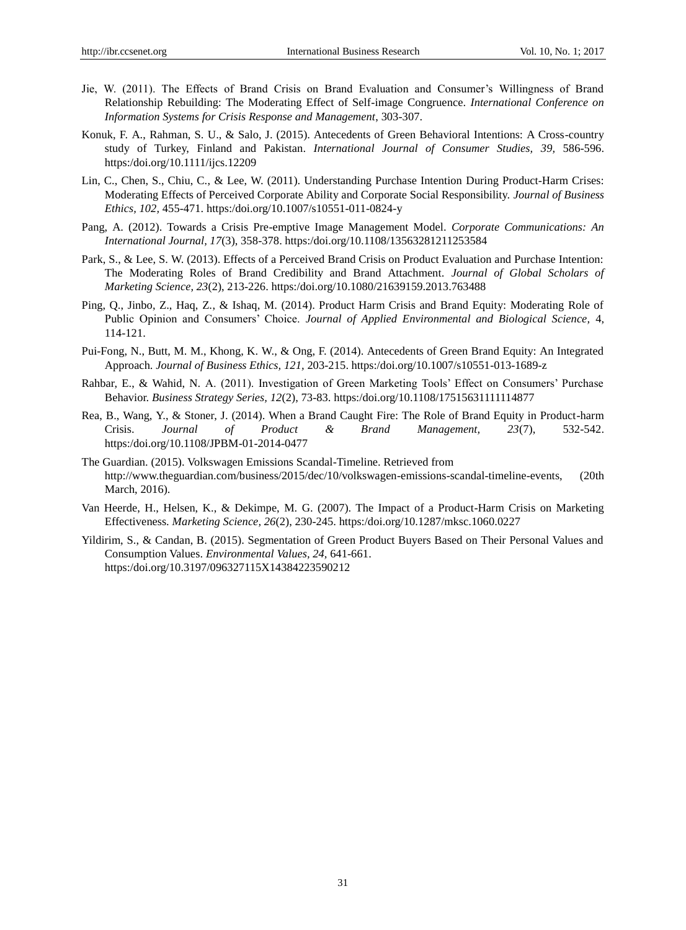- Jie, W. (2011). The Effects of Brand Crisis on Brand Evaluation and Consumer"s Willingness of Brand Relationship Rebuilding: The Moderating Effect of Self-image Congruence. *International Conference on Information Systems for Crisis Response and Management*, 303-307.
- Konuk, F. A., Rahman, S. U., & Salo, J. (2015). Antecedents of Green Behavioral Intentions: A Cross-country study of Turkey, Finland and Pakistan. *International Journal of Consumer Studies, 39,* 586-596. [https:/doi.org/10.1111/ijcs.12209](https://doi.org/10.1111/ijcs.12209)
- Lin, C., Chen, S., Chiu, C., & Lee, W. (2011). Understanding Purchase Intention During Product-Harm Crises: Moderating Effects of Perceived Corporate Ability and Corporate Social Responsibility. *Journal of Business Ethics, 102,* 455-471. [https:/doi.org/10.1007/s10551-011-0824-y](https://doi.org/10.1007/s10551-011-0824-y)
- Pang, A. (2012). Towards a Crisis Pre-emptive Image Management Model. *Corporate Communications: An International Journal, 17*(3), 358-378. [https:/doi.org/10.1108/13563281211253584](https://doi.org/10.1108/13563281211253584)
- Park, S., & Lee, S. W. (2013). Effects of a Perceived Brand Crisis on Product Evaluation and Purchase Intention: The Moderating Roles of Brand Credibility and Brand Attachment. *Journal of Global Scholars of Marketing Science, 23*(2), 213-226. [https:/doi.org/10.1080/21639159.2013.763488](https://doi.org/10.1080/21639159.2013.763488)
- Ping, Q., Jinbo, Z., Haq, Z., & Ishaq, M. (2014). Product Harm Crisis and Brand Equity: Moderating Role of Public Opinion and Consumers" Choice. *Journal of Applied Environmental and Biological Science,* 4, 114-121.
- Pui-Fong, N., Butt, M. M., Khong, K. W., & Ong, F. (2014). Antecedents of Green Brand Equity: An Integrated Approach. *Journal of Business Ethics, 121,* 203-215. [https:/doi.org/10.1007/s10551-013-1689-z](https://doi.org/10.1007/s10551-013-1689-z)
- Rahbar, E., & Wahid, N. A. (2011). Investigation of Green Marketing Tools" Effect on Consumers" Purchase Behavior. *Business Strategy Series, 12*(2), 73-83. [https:/doi.org/10.1108/17515631111114877](https://doi.org/10.1108/17515631111114877)
- Rea, B., Wang, Y., & Stoner, J. (2014). When a Brand Caught Fire: The Role of Brand Equity in Product-harm Crisis. *Journal of Product & Brand Management, 23*(7), 532-542. [https:/doi.org/10.1108/JPBM-01-2014-0477](https://doi.org/10.1108/JPBM-01-2014-0477)
- The Guardian. (2015). Volkswagen Emissions Scandal-Timeline. Retrieved from http://www.theguardian.com/business/2015/dec/10/volkswagen-emissions-scandal-timeline-events, (20th March, 2016).
- Van Heerde, H., Helsen, K., & Dekimpe, M. G. (2007). The Impact of a Product-Harm Crisis on Marketing Effectiveness. *Marketing Science, 26*(2), 230-245. [https:/doi.org/10.1287/mksc.1060.0227](https://doi.org/10.1287/mksc.1060.0227)
- Yildirim, S., & Candan, B. (2015). Segmentation of Green Product Buyers Based on Their Personal Values and Consumption Values. *Environmental Values, 24,* 641-661. [https:/doi.org/10.3197/096327115X14384223590212](https://doi.org/10.3197/096327115X14384223590212)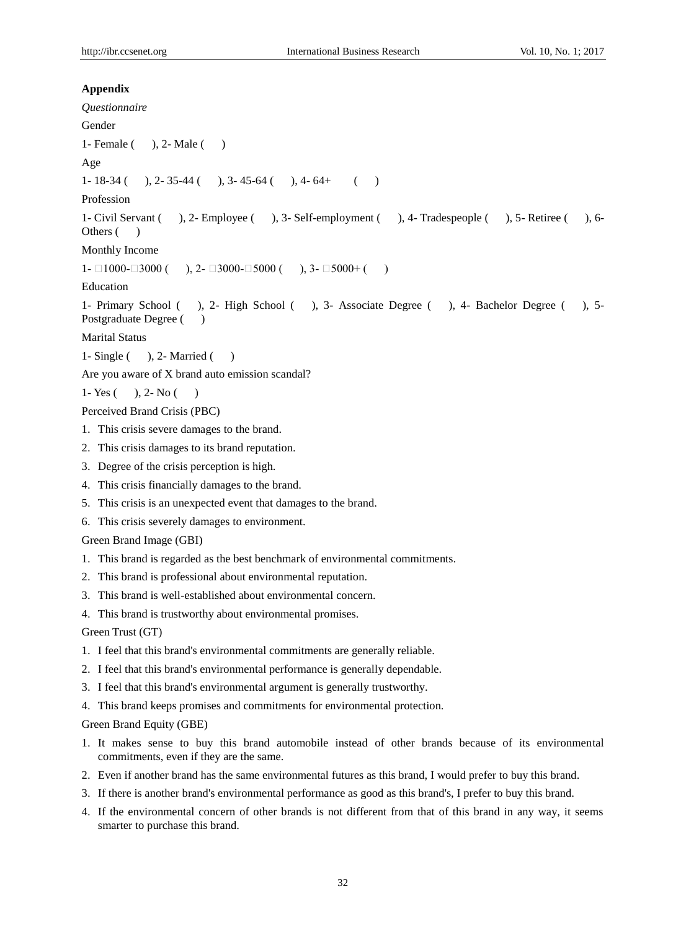```
Appendix
Questionnaire
Gender
1- Female ( ), 2- Male ( )
Age
1- 18-34 ( ), 2- 35-44 ( ), 3- 45-64 ( ), 4- 64+ ( )
Profession
1- Civil Servant ( ), 2- Employee ( ), 3- Self-employment ( ), 4- Tradespeople ( ), 5- Retiree ( ), 6-
Others ()
Monthly Income
1- \Box1000-\Box3000 ( ), 2- \Box3000-\Box5000 ( ), 3- \Box5000+ ( )
Education
1- Primary School ( ), 2- High School ( ), 3- Associate Degree ( ), 4- Bachelor Degree ( ), 5-
Postgraduate Degree ()
Marital Status
1- Single ( ), 2- Married ()
Are you aware of X brand auto emission scandal?
1- Yes (, 2- No ()
Perceived Brand Crisis (PBC)
1. This crisis severe damages to the brand.
2. This crisis damages to its brand reputation.
3. Degree of the crisis perception is high.
4. This crisis financially damages to the brand.
5. This crisis is an unexpected event that damages to the brand. 
6. This crisis severely damages to environment.
Green Brand Image (GBI)
1. This brand is regarded as the best benchmark of environmental commitments.
2. This brand is professional about environmental reputation.
3. This brand is well-established about environmental concern.
4. This brand is trustworthy about environmental promises.
Green Trust (GT)
1. I feel that this brand's environmental commitments are generally reliable.
2. I feel that this brand's environmental performance is generally dependable.
3. I feel that this brand's environmental argument is generally trustworthy.
4. This brand keeps promises and commitments for environmental protection.
Green Brand Equity (GBE)
1. It makes sense to buy this brand automobile instead of other brands because of its environmental 
   commitments, even if they are the same.
2. Even if another brand has the same environmental futures as this brand, I would prefer to buy this brand.
3. If there is another brand's environmental performance as good as this brand's, I prefer to buy this brand.
```
4. If the environmental concern of other brands is not different from that of this brand in any way, it seems smarter to purchase this brand.